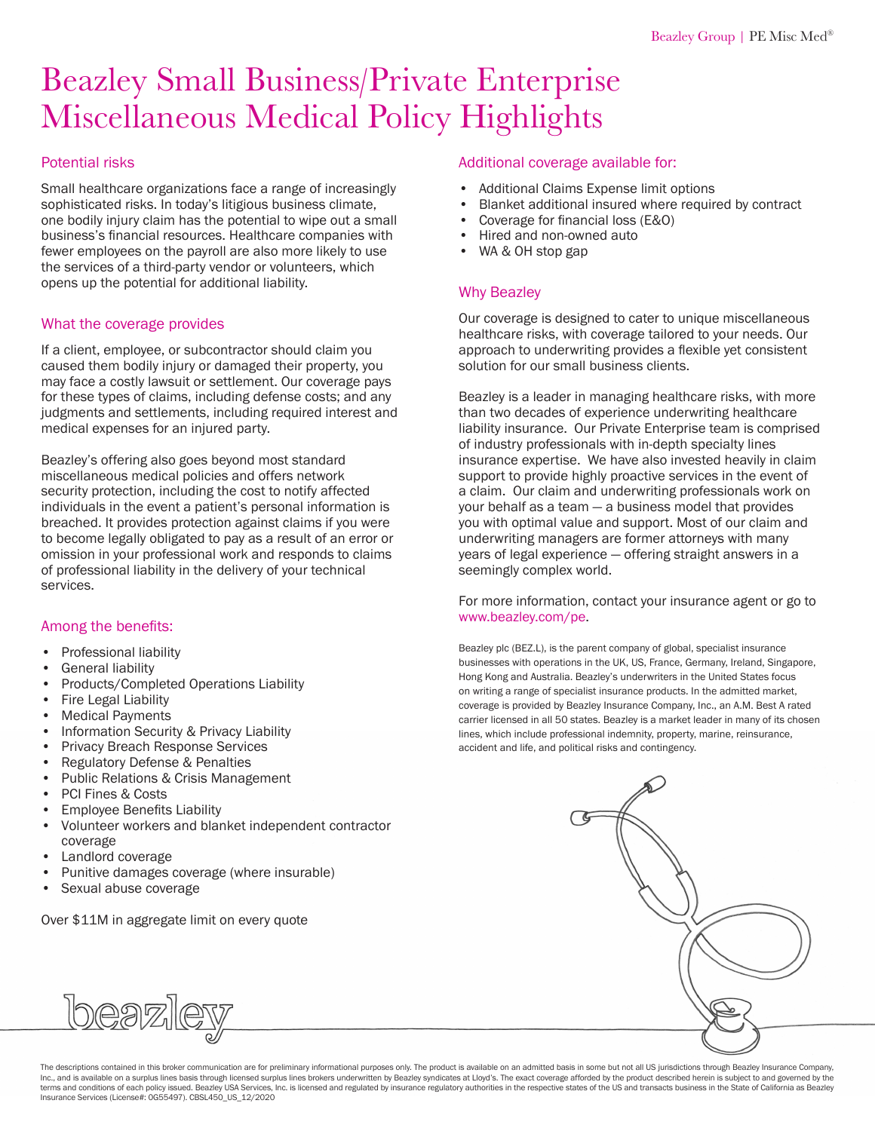# Beazley Small Business/Private Enterprise Miscellaneous Medical Policy Highlights

#### Potential risks

Small healthcare organizations face a range of increasingly sophisticated risks. In today's litigious business climate, one bodily injury claim has the potential to wipe out a small business's financial resources. Healthcare companies with fewer employees on the payroll are also more likely to use the services of a third-party vendor or volunteers, which opens up the potential for additional liability.

#### What the coverage provides

If a client, employee, or subcontractor should claim you caused them bodily injury or damaged their property, you may face a costly lawsuit or settlement. Our coverage pays for these types of claims, including defense costs; and any judgments and settlements, including required interest and medical expenses for an injured party.

Beazley's offering also goes beyond most standard miscellaneous medical policies and offers network security protection, including the cost to notify affected individuals in the event a patient's personal information is breached. It provides protection against claims if you were to become legally obligated to pay as a result of an error or omission in your professional work and responds to claims of professional liability in the delivery of your technical services.

#### Among the benefits:

- Professional liability
- General liability
- Products/Completed Operations Liability
- Fire Legal Liability
- Medical Payments
- Information Security & Privacy Liability
- Privacy Breach Response Services
- Regulatory Defense & Penalties
- Public Relations & Crisis Management
- PCI Fines & Costs
- Employee Benefits Liability
- Volunteer workers and blanket independent contractor coverage
- Landlord coverage
- Punitive damages coverage (where insurable)
- Sexual abuse coverage

Over \$11M in aggregate limit on every quote

#### Additional coverage available for:

- Additional Claims Expense limit options
- Blanket additional insured where required by contract
- Coverage for financial loss (E&O)
- Hired and non-owned auto
- WA & OH stop gap

#### Why Beazley

Our coverage is designed to cater to unique miscellaneous healthcare risks, with coverage tailored to your needs. Our approach to underwriting provides a flexible yet consistent solution for our small business clients.

Beazley is a leader in managing healthcare risks, with more than two decades of experience underwriting healthcare liability insurance. Our Private Enterprise team is comprised of industry professionals with in-depth specialty lines insurance expertise. We have also invested heavily in claim support to provide highly proactive services in the event of a claim. Our claim and underwriting professionals work on your behalf as a team — a business model that provides you with optimal value and support. Most of our claim and underwriting managers are former attorneys with many years of legal experience — offering straight answers in a seemingly complex world.

For more information, contact your insurance agent or go to [www.beazley.com/pe.](http://www.beazley.com/pe)

Beazley plc (BEZ.L), is the parent company of global, specialist insurance businesses with operations in the UK, US, France, Germany, Ireland, Singapore, Hong Kong and Australia. Beazley's underwriters in the United States focus on writing a range of specialist insurance products. In the admitted market, coverage is provided by Beazley Insurance Company, Inc., an A.M. Best A rated carrier licensed in all 50 states. Beazley is a market leader in many of its chosen lines, which include professional indemnity, property, marine, reinsurance, accident and life, and political risks and contingency.



beazle

The descriptions contained in this broker communication are for preliminary informational purposes only. The product is available on an admitted basis in some but not all US jurisdictions through Beazley Insurance Company, Inc., and is available on a surplus lines basis through licensed surplus lines brokers underwritten by Beazley syndicates at Lloyd's. The exact coverage afforded by the product described herein is subject to and governed b terms and conditions of each policy issued. Beazley USA Services, Inc. is licensed and regulated by insurance regulatory authorities in the respective states of the US and transacts business in the State of California as B Insurance Services (License#: 0G55497). CBSL450\_US\_12/2020